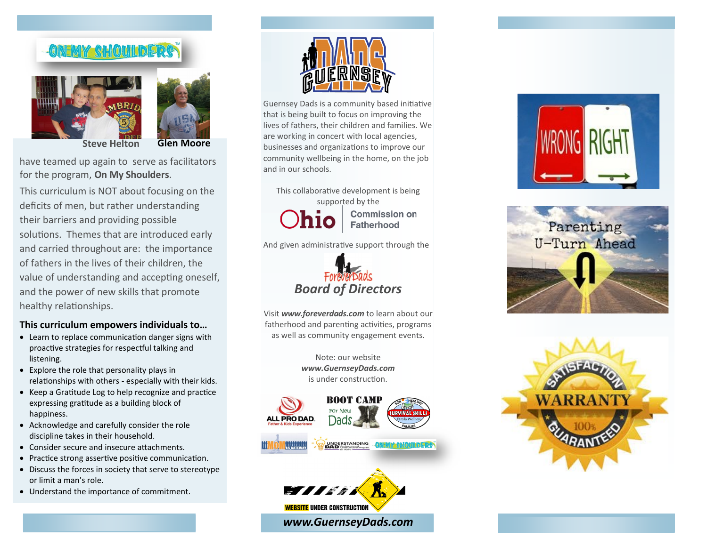## ONEMY SHOULLDER





**Steve Helton Glen Moore** 

have teamed up again to serve as facilitators for the program, **On My Shoulders**.

This curriculum is NOT about focusing on the deficits of men, but rather understanding their barriers and providing possible solutions. Themes that are introduced early and carried throughout are: the importance of fathers in the lives of their children, the value of understanding and accepting oneself, and the power of new skills that promote healthy relationships.

## **This curriculum empowers individuals to…**

- Learn to replace communication danger signs with proactive strategies for respectful talking and listening.
- Explore the role that personality plays in relationships with others - especially with their kids.
- Keep a Gratitude Log to help recognize and practice expressing gratitude as a building block of happiness.
- Acknowledge and carefully consider the role discipline takes in their household.
- Consider secure and insecure attachments.
- Practice strong assertive positive communication.
- Discuss the forces in society that serve to stereotype or limit a man's role.
- Understand the importance of commitment.



Guernsey Dads is a community based initiative that is being built to focus on improving the lives of fathers, their children and families. We are working in concert with local agencies, businesses and organizations to improve our community wellbeing in the home, on the job and in our schools.

This collaborative development is being supported by the **Commission on Fatherhood** 

And given administrative support through the



Visit *www.foreverdads.com* to learn about our fatherhood and parenting activities, programs as well as community engagement events.

> Note: our website *www.GuernseyDads.com*  is under construction.





*www.GuernseyDads.com*